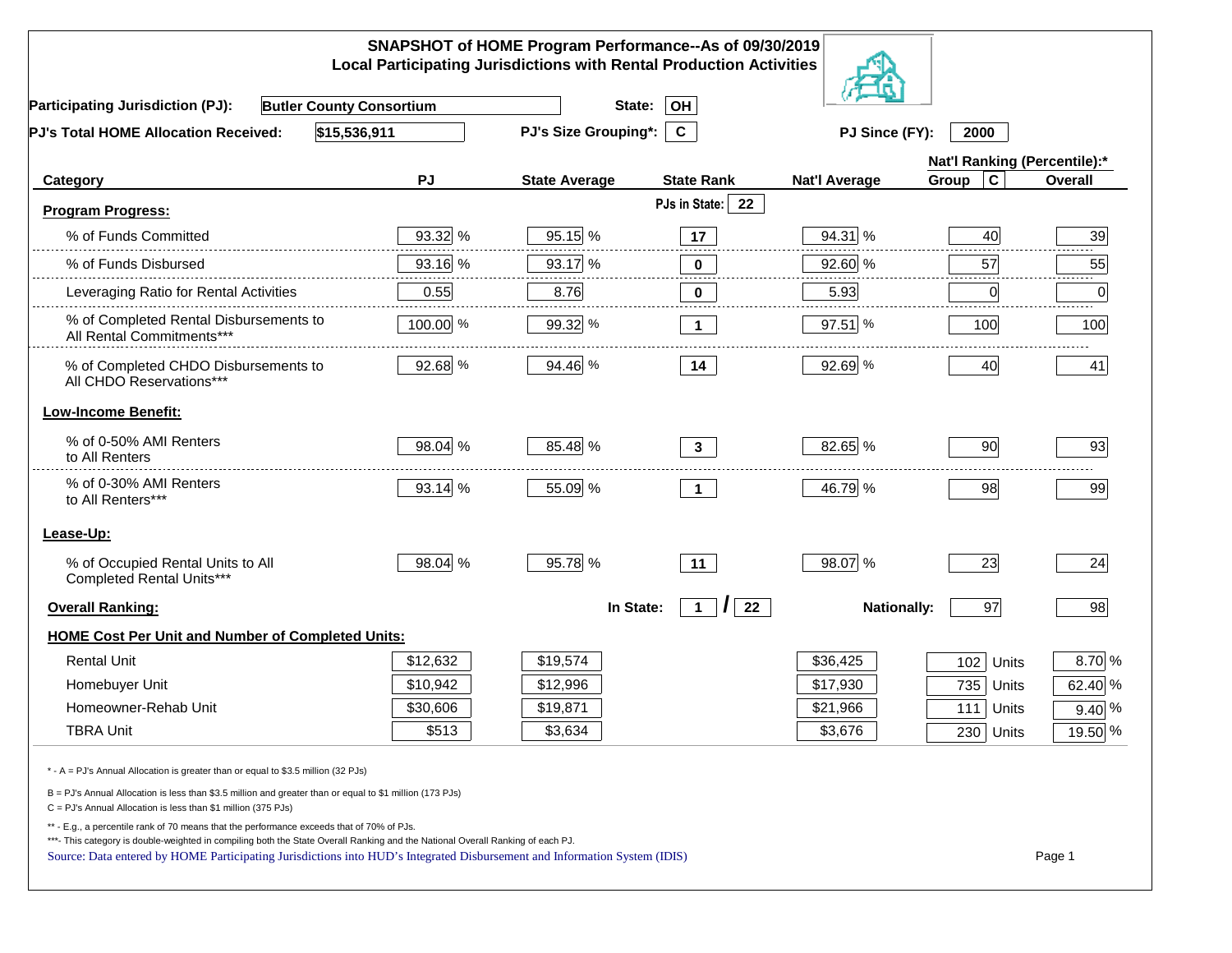| SNAPSHOT of HOME Program Performance--As of 09/30/2019<br><b>Local Participating Jurisdictions with Rental Production Activities</b>                                                                                                                                                                                                                     |          |                             |                                |                      |                              |                 |  |  |
|----------------------------------------------------------------------------------------------------------------------------------------------------------------------------------------------------------------------------------------------------------------------------------------------------------------------------------------------------------|----------|-----------------------------|--------------------------------|----------------------|------------------------------|-----------------|--|--|
| <b>Butler County Consortium</b><br><b>Participating Jurisdiction (PJ):</b>                                                                                                                                                                                                                                                                               |          | State:                      | OH                             |                      |                              |                 |  |  |
| \$15,536,911<br>PJ's Total HOME Allocation Received:                                                                                                                                                                                                                                                                                                     |          | <b>PJ's Size Grouping*:</b> | $\mathbf{C}$                   | PJ Since (FY):       | 2000                         |                 |  |  |
|                                                                                                                                                                                                                                                                                                                                                          |          |                             |                                |                      | Nat'l Ranking (Percentile):* |                 |  |  |
| Category                                                                                                                                                                                                                                                                                                                                                 | PJ       | <b>State Average</b>        | <b>State Rank</b>              | <b>Nat'l Average</b> | $\mathbf c$<br>Group         | Overall         |  |  |
| <b>Program Progress:</b>                                                                                                                                                                                                                                                                                                                                 |          |                             | PJs in State:<br>22            |                      |                              |                 |  |  |
| % of Funds Committed                                                                                                                                                                                                                                                                                                                                     | 93.32 %  | 95.15 %                     | 17                             | 94.31 %              | 40                           | 39              |  |  |
| % of Funds Disbursed                                                                                                                                                                                                                                                                                                                                     | 93.16 %  | 93.17 %                     | 0                              | 92.60 %              | 57                           | 55              |  |  |
| Leveraging Ratio for Rental Activities                                                                                                                                                                                                                                                                                                                   | 0.55     | 8.76                        | $\bf{0}$                       | 5.93                 | $\overline{0}$               | 2.2.2.2.2.<br>0 |  |  |
| % of Completed Rental Disbursements to<br>All Rental Commitments***                                                                                                                                                                                                                                                                                      | 100.00 % | 99.32 %                     | $\mathbf{1}$                   | 97.51 %              | 100                          | 100             |  |  |
| % of Completed CHDO Disbursements to<br>All CHDO Reservations***                                                                                                                                                                                                                                                                                         | 92.68 %  | 94.46 %                     | 14                             | 92.69 %              | 40                           | 41              |  |  |
| <b>Low-Income Benefit:</b>                                                                                                                                                                                                                                                                                                                               |          |                             |                                |                      |                              |                 |  |  |
| % of 0-50% AMI Renters<br>to All Renters                                                                                                                                                                                                                                                                                                                 | 98.04 %  | 85.48 %                     | $\mathbf{3}$                   | 82.65 %              | 90                           | 93              |  |  |
| % of 0-30% AMI Renters<br>to All Renters***                                                                                                                                                                                                                                                                                                              | 93.14 %  | 55.09 %                     | $\mathbf{1}$                   | 46.79 %              | 98                           | 99              |  |  |
| Lease-Up:                                                                                                                                                                                                                                                                                                                                                |          |                             |                                |                      |                              |                 |  |  |
| % of Occupied Rental Units to All<br>Completed Rental Units***                                                                                                                                                                                                                                                                                           | 98.04 %  | 95.78 %                     | 11                             | 98.07 %              | 23                           | 24              |  |  |
| <b>Overall Ranking:</b>                                                                                                                                                                                                                                                                                                                                  |          | In State:                   | 22<br>$\mathbf{1}$<br>$\prime$ | <b>Nationally:</b>   | 97                           | 98              |  |  |
| HOME Cost Per Unit and Number of Completed Units:                                                                                                                                                                                                                                                                                                        |          |                             |                                |                      |                              |                 |  |  |
| <b>Rental Unit</b>                                                                                                                                                                                                                                                                                                                                       | \$12,632 | \$19,574                    |                                | \$36,425             | 102<br>Units                 | 8.70 %          |  |  |
| Homebuyer Unit                                                                                                                                                                                                                                                                                                                                           | \$10,942 | \$12,996                    |                                | \$17,930             | 735 Units                    | 62.40 %         |  |  |
| Homeowner-Rehab Unit                                                                                                                                                                                                                                                                                                                                     | \$30,606 | \$19,871                    |                                | \$21,966             | 111 Units                    | $9.40\%$        |  |  |
| <b>TBRA Unit</b>                                                                                                                                                                                                                                                                                                                                         | \$513    | \$3,634                     |                                | \$3,676              | $\overline{230}$ Units       | 19.50 %         |  |  |
| * - A = PJ's Annual Allocation is greater than or equal to \$3.5 million (32 PJs)                                                                                                                                                                                                                                                                        |          |                             |                                |                      |                              |                 |  |  |
| B = PJ's Annual Allocation is less than \$3.5 million and greater than or equal to \$1 million (173 PJs)<br>C = PJ's Annual Allocation is less than \$1 million (375 PJs)                                                                                                                                                                                |          |                             |                                |                      |                              |                 |  |  |
| ** - E.g., a percentile rank of 70 means that the performance exceeds that of 70% of PJs.<br>***- This category is double-weighted in compiling both the State Overall Ranking and the National Overall Ranking of each PJ.<br>Source: Data entered by HOME Participating Jurisdictions into HUD's Integrated Disbursement and Information System (IDIS) |          |                             |                                |                      |                              | Page 1          |  |  |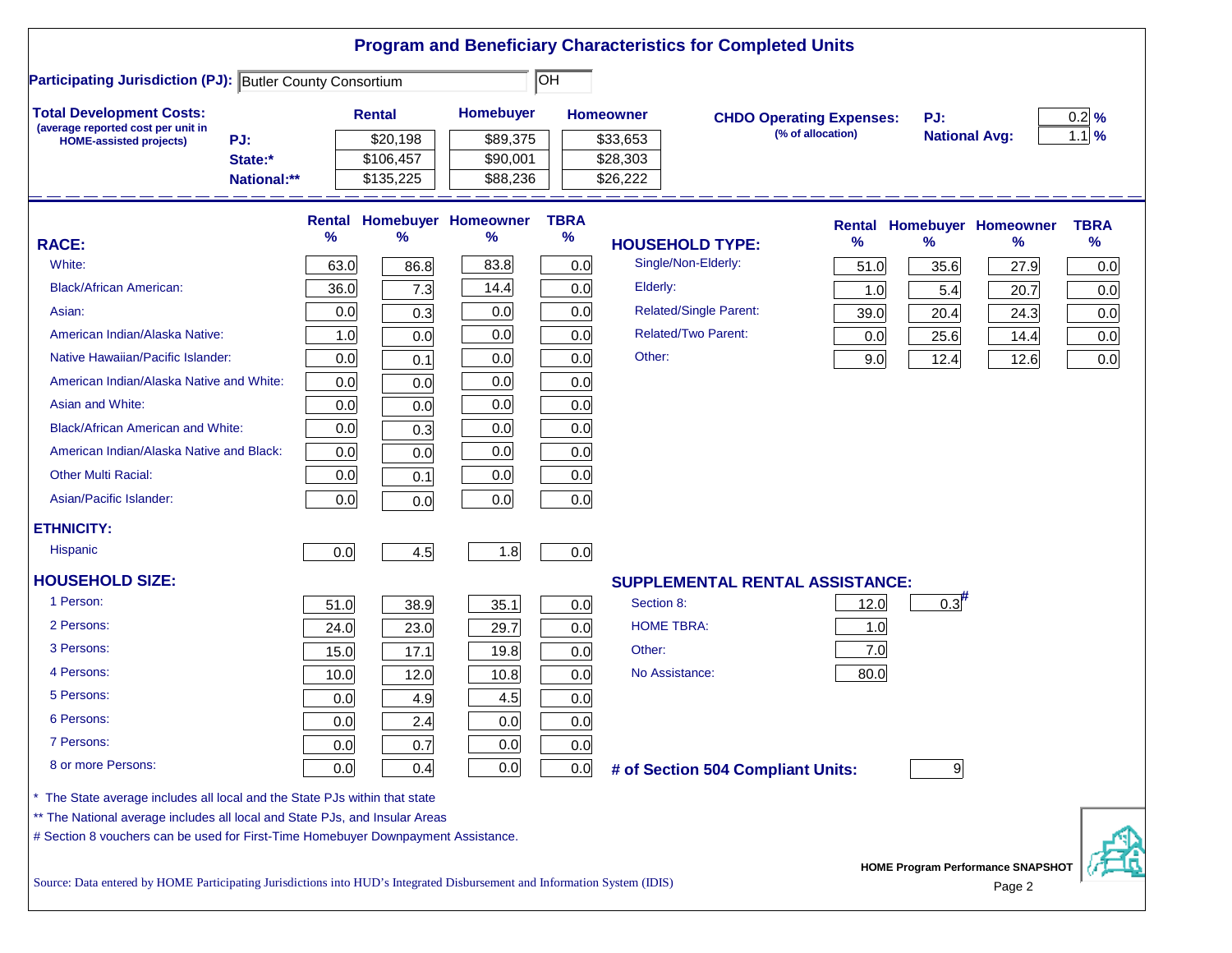|                                                                                                                           |               |               |                            |                  | <b>Program and Beneficiary Characteristics for Completed Units</b> |                                 |                      |                                          |                   |
|---------------------------------------------------------------------------------------------------------------------------|---------------|---------------|----------------------------|------------------|--------------------------------------------------------------------|---------------------------------|----------------------|------------------------------------------|-------------------|
| <b>Participating Jurisdiction (PJ): Butler County Consortium</b>                                                          |               |               |                            | $\overline{O}$ H |                                                                    |                                 |                      |                                          |                   |
| <b>Total Development Costs:</b>                                                                                           |               | <b>Rental</b> | <b>Homebuyer</b>           |                  | <b>Homeowner</b>                                                   | <b>CHDO Operating Expenses:</b> | PJ:                  |                                          | $0.2$ %           |
| (average reported cost per unit in<br>PJ:<br><b>HOME-assisted projects)</b>                                               |               | \$20,198      | \$89,375                   |                  | \$33,653                                                           | (% of allocation)               | <b>National Avg:</b> |                                          | $1.1 \frac{9}{6}$ |
| State:*                                                                                                                   |               | \$106,457     | \$90,001                   |                  | \$28,303                                                           |                                 |                      |                                          |                   |
| National:**                                                                                                               |               | \$135,225     | \$88,236                   |                  | \$26,222                                                           |                                 |                      |                                          |                   |
|                                                                                                                           | <b>Rental</b> |               | <b>Homebuyer Homeowner</b> | <b>TBRA</b>      |                                                                    | <b>Rental</b>                   |                      | <b>Homebuyer Homeowner</b>               | <b>TBRA</b>       |
| <b>RACE:</b>                                                                                                              | $\frac{9}{6}$ | ℅             | ℅                          | $\%$             | <b>HOUSEHOLD TYPE:</b>                                             | %                               | $\frac{9}{6}$        | ℅                                        | %                 |
| White:                                                                                                                    | 63.0          | 86.8          | 83.8                       | 0.0              | Single/Non-Elderly:                                                | 51.0                            | 35.6                 | 27.9                                     | 0.0               |
| <b>Black/African American:</b>                                                                                            | 36.0          | 7.3           | 14.4                       | 0.0              | Elderly:                                                           | 1.0                             | 5.4                  | 20.7                                     | 0.0               |
| Asian:                                                                                                                    | 0.0           | 0.3           | 0.0                        | 0.0              | <b>Related/Single Parent:</b>                                      | 39.0                            | 20.4                 | 24.3                                     | 0.0               |
| American Indian/Alaska Native:                                                                                            | 1.0           | 0.0           | 0.0                        | 0.0              | <b>Related/Two Parent:</b>                                         | 0.0                             | 25.6                 | 14.4                                     | 0.0               |
| Native Hawaiian/Pacific Islander:                                                                                         | 0.0           | 0.1           | 0.0                        | 0.0              | Other:                                                             | 9.0                             | 12.4                 | 12.6                                     | 0.0               |
| American Indian/Alaska Native and White:                                                                                  | 0.0           | 0.0           | 0.0                        | 0.0              |                                                                    |                                 |                      |                                          |                   |
| Asian and White:                                                                                                          | 0.0           | 0.0           | 0.0                        | 0.0              |                                                                    |                                 |                      |                                          |                   |
| <b>Black/African American and White:</b>                                                                                  | 0.0           | 0.3           | 0.0                        | 0.0              |                                                                    |                                 |                      |                                          |                   |
| American Indian/Alaska Native and Black:                                                                                  | 0.0           | 0.0           | 0.0                        | 0.0              |                                                                    |                                 |                      |                                          |                   |
| <b>Other Multi Racial:</b>                                                                                                | 0.0           | 0.1           | 0.0                        | 0.0              |                                                                    |                                 |                      |                                          |                   |
| Asian/Pacific Islander:                                                                                                   | 0.0           | 0.0           | 0.0                        | 0.0              |                                                                    |                                 |                      |                                          |                   |
| <b>ETHNICITY:</b>                                                                                                         |               |               |                            |                  |                                                                    |                                 |                      |                                          |                   |
| <b>Hispanic</b>                                                                                                           | 0.0           | 4.5           | 1.8                        | 0.0              |                                                                    |                                 |                      |                                          |                   |
| <b>HOUSEHOLD SIZE:</b>                                                                                                    |               |               |                            |                  | SUPPLEMENTAL RENTAL ASSISTANCE:                                    |                                 |                      |                                          |                   |
| 1 Person:                                                                                                                 | 51.0          | 38.9          | 35.1                       | 0.0              | Section 8:                                                         | 12.0                            | 0.3                  |                                          |                   |
| 2 Persons:                                                                                                                | 24.0          | 23.0          | 29.7                       | 0.0              | <b>HOME TBRA:</b>                                                  | 1.0                             |                      |                                          |                   |
| 3 Persons:                                                                                                                | 15.0          | 17.1          | 19.8                       | 0.0              | Other:                                                             | 7.0                             |                      |                                          |                   |
| 4 Persons:                                                                                                                | 10.0          | 12.0          | 10.8                       | 0.0              | No Assistance:                                                     | 80.0                            |                      |                                          |                   |
| 5 Persons:                                                                                                                | 0.0           | 4.9           | 4.5                        | 0.0              |                                                                    |                                 |                      |                                          |                   |
| 6 Persons:                                                                                                                | 0.0           | 2.4           | 0.0                        | 0.0              |                                                                    |                                 |                      |                                          |                   |
| 7 Persons:                                                                                                                | 0.0           | 0.7           | 0.0                        | 0.0              |                                                                    |                                 |                      |                                          |                   |
| 8 or more Persons:                                                                                                        | 0.0           | 0.4           | 0.0                        | 0.0              | # of Section 504 Compliant Units:                                  |                                 | 9                    |                                          |                   |
| The State average includes all local and the State PJs within that state                                                  |               |               |                            |                  |                                                                    |                                 |                      |                                          |                   |
| ** The National average includes all local and State PJs, and Insular Areas                                               |               |               |                            |                  |                                                                    |                                 |                      |                                          |                   |
| # Section 8 vouchers can be used for First-Time Homebuyer Downpayment Assistance.                                         |               |               |                            |                  |                                                                    |                                 |                      |                                          |                   |
|                                                                                                                           |               |               |                            |                  |                                                                    |                                 |                      | <b>HOME Program Performance SNAPSHOT</b> |                   |
| Source: Data entered by HOME Participating Jurisdictions into HUD's Integrated Disbursement and Information System (IDIS) |               |               |                            |                  |                                                                    |                                 |                      | Page 2                                   |                   |